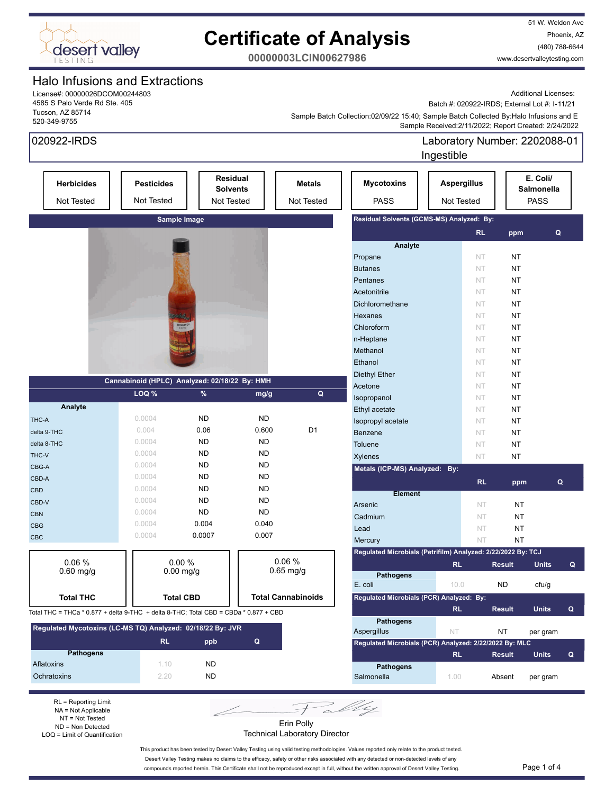

51 W. Weldon Ave Phoenix, AZ (480) 788-6644 www.desertvalleytesting.com

**00000003LCIN00627986**

### Halo Infusions and Extractions

License#: 00000026DCOM00244803 4585 S Palo Verde Rd Ste. 405 Tucson, AZ 85714 520-349-9755

Additional Licenses:

Batch #: 020922-IRDS; External Lot #: I-11/21

 Sample Received:2/11/2022; Report Created: 2/24/2022 Sample Batch Collection:02/09/22 15:40; Sample Batch Collected By:Halo Infusions and E

| 020922-IRDS                                                                          |                                               |                      |                                           |                                           |                                                              | Laboratory Number: 2202088-01<br>Ingestible |           |                                       |              |              |
|--------------------------------------------------------------------------------------|-----------------------------------------------|----------------------|-------------------------------------------|-------------------------------------------|--------------------------------------------------------------|---------------------------------------------|-----------|---------------------------------------|--------------|--------------|
| <b>Herbicides</b><br>Not Tested                                                      | <b>Pesticides</b><br>Not Tested               |                      | Residual<br><b>Solvents</b><br>Not Tested | <b>Metals</b><br>Not Tested               | <b>Mycotoxins</b><br><b>PASS</b>                             | <b>Aspergillus</b><br>Not Tested            |           | E. Coli/<br>Salmonella<br><b>PASS</b> |              |              |
| Sample Image                                                                         |                                               |                      |                                           | Residual Solvents (GCMS-MS) Analyzed: By: |                                                              |                                             |           |                                       |              |              |
|                                                                                      |                                               |                      |                                           |                                           |                                                              |                                             | <b>RL</b> | ppm                                   | Q            |              |
|                                                                                      |                                               |                      |                                           |                                           | Analyte                                                      |                                             |           |                                       |              |              |
|                                                                                      |                                               |                      |                                           |                                           | Propane                                                      |                                             | NT        | <b>NT</b>                             |              |              |
|                                                                                      |                                               |                      |                                           |                                           | <b>Butanes</b>                                               |                                             | <b>NT</b> | <b>NT</b>                             |              |              |
|                                                                                      |                                               |                      |                                           |                                           | Pentanes                                                     |                                             | NT        | NT                                    |              |              |
|                                                                                      |                                               |                      |                                           |                                           | Acetonitrile                                                 |                                             | NT        | <b>NT</b>                             |              |              |
|                                                                                      |                                               |                      |                                           |                                           | Dichloromethane                                              |                                             | NT        | <b>NT</b>                             |              |              |
|                                                                                      |                                               |                      |                                           |                                           | Hexanes                                                      |                                             | NT        | <b>NT</b>                             |              |              |
|                                                                                      |                                               |                      |                                           |                                           | Chloroform                                                   |                                             | NT        | <b>NT</b>                             |              |              |
|                                                                                      |                                               |                      |                                           |                                           | n-Heptane                                                    |                                             | NT        | <b>NT</b>                             |              |              |
|                                                                                      |                                               |                      |                                           |                                           | Methanol                                                     |                                             | NT        | <b>NT</b><br><b>NT</b>                |              |              |
|                                                                                      |                                               |                      |                                           |                                           | Ethanol                                                      |                                             | NT        |                                       |              |              |
|                                                                                      | Cannabinoid (HPLC) Analyzed: 02/18/22 By: HMH |                      |                                           |                                           | <b>Diethyl Ether</b>                                         |                                             | NT        | <b>NT</b>                             |              |              |
|                                                                                      | LOQ %                                         | %                    | mg/g                                      | Q                                         | Acetone                                                      |                                             | NT        | <b>NT</b>                             |              |              |
| Analyte                                                                              |                                               |                      |                                           |                                           | Isopropanol                                                  |                                             | NT        | NT                                    |              |              |
| THC-A                                                                                | 0.0004                                        | <b>ND</b>            | <b>ND</b>                                 |                                           | Ethyl acetate                                                |                                             | <b>NT</b> | NT                                    |              |              |
|                                                                                      | 0.004                                         | 0.06                 | 0.600                                     | D <sub>1</sub>                            | Isopropyl acetate                                            |                                             | NT        | <b>NT</b>                             |              |              |
| delta 9-THC                                                                          | 0.0004                                        | <b>ND</b>            | <b>ND</b>                                 |                                           | Benzene                                                      |                                             | <b>NT</b> | <b>NT</b>                             |              |              |
| delta 8-THC                                                                          | 0.0004                                        | <b>ND</b>            | <b>ND</b>                                 |                                           | Toluene                                                      |                                             | NT        | <b>NT</b>                             |              |              |
| THC-V                                                                                | 0.0004                                        | <b>ND</b>            | <b>ND</b>                                 |                                           | <b>Xylenes</b>                                               |                                             | NT        | NT                                    |              |              |
| CBG-A                                                                                | 0.0004                                        | <b>ND</b>            | <b>ND</b>                                 |                                           | Metals (ICP-MS) Analyzed:                                    | By:                                         |           |                                       |              |              |
| CBD-A                                                                                | 0.0004                                        | <b>ND</b>            | <b>ND</b>                                 |                                           |                                                              |                                             | <b>RL</b> | ppm                                   | Q            |              |
| <b>CBD</b>                                                                           | 0.0004                                        | <b>ND</b>            | <b>ND</b>                                 |                                           | <b>Element</b>                                               |                                             |           |                                       |              |              |
| CBD-V                                                                                | 0.0004                                        | <b>ND</b>            | <b>ND</b>                                 |                                           | Arsenic                                                      |                                             | NT        | NT                                    |              |              |
| <b>CBN</b>                                                                           | 0.0004                                        | 0.004                | 0.040                                     |                                           | Cadmium                                                      |                                             | NT        | NT                                    |              |              |
| <b>CBG</b>                                                                           | 0.0004                                        | 0.0007               | 0.007                                     |                                           | Lead                                                         |                                             | NT        | NT                                    |              |              |
| <b>CBC</b>                                                                           |                                               |                      |                                           |                                           | Mercury                                                      |                                             | NT        | NT                                    |              |              |
|                                                                                      |                                               |                      |                                           |                                           | Regulated Microbials (Petrifilm) Analyzed: 2/22/2022 By: TCJ |                                             |           |                                       |              |              |
| 0.06%<br>$0.60$ mg/g                                                                 |                                               | 0.00%<br>$0.00$ mg/g |                                           | 0.06%<br>$0.65$ mg/g                      |                                                              | <b>RL</b>                                   |           | <b>Result</b>                         | <b>Units</b> | Q            |
|                                                                                      |                                               |                      |                                           |                                           | Pathogens                                                    |                                             |           |                                       |              |              |
|                                                                                      |                                               |                      |                                           |                                           | E. coli                                                      | 10.0                                        |           | <b>ND</b>                             | ctu/g        |              |
| <b>Total THC</b>                                                                     |                                               | <b>Total CBD</b>     |                                           | <b>Total Cannabinoids</b>                 | Regulated Microbials (PCR) Analyzed: By:                     |                                             |           |                                       |              |              |
| Total THC = THCa * 0.877 + delta 9-THC + delta 8-THC; Total CBD = CBDa * 0.877 + CBD |                                               |                      |                                           |                                           |                                                              | RL.                                         |           | <b>Result</b>                         | <b>Units</b> | $\mathbf{Q}$ |
| Regulated Mycotoxins (LC-MS TQ) Analyzed: 02/18/22 By: JVR                           |                                               |                      |                                           |                                           | <b>Pathogens</b>                                             |                                             |           |                                       |              |              |
|                                                                                      | <b>RL</b>                                     | ppb                  | $\mathbf Q$                               |                                           | Aspergillus                                                  | NT.                                         |           | NT                                    | per gram     |              |
| <b>Pathogens</b>                                                                     |                                               |                      |                                           |                                           | Regulated Microbials (PCR) Analyzed: 2/22/2022 By: MLC       |                                             |           |                                       |              |              |
| <b>Aflatoxins</b>                                                                    | 1.10                                          | ND.                  |                                           |                                           |                                                              | <b>RL</b>                                   |           | <b>Result</b>                         | <b>Units</b> | Q            |
| Ochratoxins                                                                          | 2.20                                          | ND.                  |                                           |                                           | <b>Pathogens</b><br>Salmonella                               | 1.00                                        |           | Absent                                | per gram     |              |
|                                                                                      |                                               |                      |                                           |                                           |                                                              |                                             |           |                                       |              |              |

RL = Reporting Limit NA = Not Applicable NT = Not Tested ND = Non Detected LOQ = Limit of Quantification

Erin Polly Technical Laboratory Director

Fally

This product has been tested by Desert Valley Testing using valid testing methodologies. Values reported only relate to the product tested. Desert Valley Testing makes no claims to the efficacy, safety or other risks associated with any detected or non-detected levels of any

compounds reported herein. This Certificate shall not be reproduced except in full, without the written approval of Desert Valley Testing. Page 1 of 4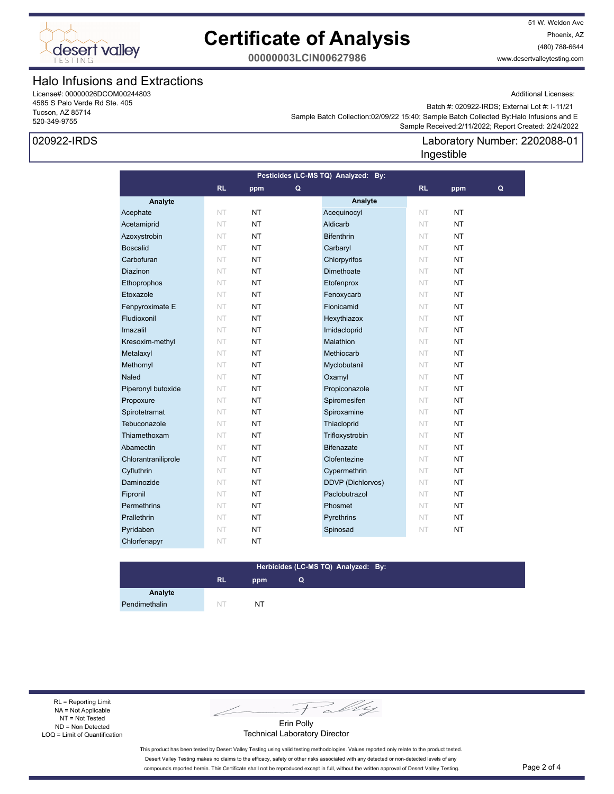

51 W. Weldon Ave Phoenix, AZ (480) 788-6644 www.desertvalleytesting.com

**00000003LCIN00627986**

### Halo Infusions and Extractions

License#: 00000026DCOM00244803 4585 S Palo Verde Rd Ste. 405 Tucson, AZ 85714 520-349-9755

### 020922-IRDS

Additional Licenses:

Laboratory Number: 2202088-01

 Sample Received:2/11/2022; Report Created: 2/24/2022 Sample Batch Collection:02/09/22 15:40; Sample Batch Collected By:Halo Infusions and E Batch #: 020922-IRDS; External Lot #: I-11/21

Ingestible

### **Analyte Analyte RL ppm RL ppm Pesticides (LC-MS TQ) Analyzed: By: Q Q** Acephate NT NT NT Acequinocyl NT NT Acetamiprid NT NT NT Aldicarb NT NT NT Azoxystrobin NT NT NT Bifenthrin NT NT NT Boscalid NT NT NT Carbaryl NT NT NT Carbofuran NT NT NT Chlorpyrifos NT NT **Diazinon NT NT NT Dimethoate** NT NT Ethoprophos NT NT NT Etofenprox NT NT Etoxazole NT NT NT Fenoxycarb NT NT **Fenpyroximate E NT NT NT Flonicamid NT NT NT Fludioxonil NT NT NT Hexythiazox NT NT NT** Imazalil NT NT NT Imidacloprid NT NT Kresoxim-methyl NT NT NT Malathion NT NT NT **Metalaxyl NT NT NT Methiocarb** NT **NT Methomyl NT NT NT Myclobutanil NT NT NT Naled NT NT NT Oxamyl NT NT NT** Piperonyl butoxide NT NT **NT** Propiconazole NT NT Propoxure NT NT NT Spiromesifen NT NT Spirotetramat NT NT NT Spiroxamine NT NT Tebuconazole **NT NT Thiacloprid NT NT NT** Thiamethoxam NT NT NT Trifloxystrobin NT NT Abamectin NT NT **NT** Bifenazate NT NT Chlorantraniliprole NT NT NT Clofentezine NT NT Cyfluthrin NT NT NT Cypermethrin NT NT Daminozide NT NT NT DDVP (Dichlorvos) NT NT **Fipronil NT NT NT Paclobutrazol NT NT Permethrins NT NT NT Phosmet NT NT NT Prallethrin NT NT NT Pyrethrins NT NT NT** Pyridaben NT NT NT Spinosad NT NT Chlorfenapyr NT NT

#### **RL ppm Herbicides (LC-MS TQ) Analyzed: By: Q**

**Analyte** Pendimethalin NT NT NT

RL = Reporting Limit NA = Not Applicable NT = Not Tested ND = Non Detected LOQ = Limit of Quantification

Fally

Erin Polly Technical Laboratory Director

This product has been tested by Desert Valley Testing using valid testing methodologies. Values reported only relate to the product tested. Desert Valley Testing makes no claims to the efficacy, safety or other risks associated with any detected or non-detected levels of any compounds reported herein. This Certificate shall not be reproduced except in full, without the written approval of Desert Valley Testing. Page 2 of 4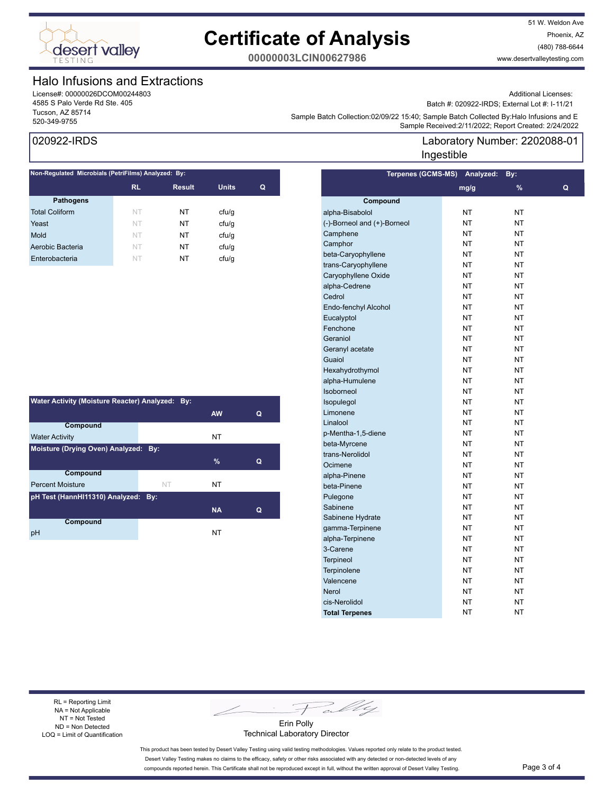

51 W. Weldon Ave Phoenix, AZ (480) 788-6644 www.desertvalleytesting.com

**00000003LCIN00627986**

### Halo Infusions and Extractions

License#: 00000026DCOM00244803 4585 S Palo Verde Rd Ste. 405 Tucson, AZ 85714

Additional Licenses:

Batch #: 020922-IRDS; External Lot #: I-11/21

Laboratory Number: 2202088-01

Sample Batch Collection.02/09/22 15.40, Sample Batch Collection.02/09/22 15.40, Sample Batch Collection Spappl<br>Sample Received:2/11/2022; Report Created: 2/24/2022 Sample Batch Collection:02/09/22 15:40; Sample Batch Collected By:Halo Infusions and E

Ingestible

### 020922-IRDS

| Non-Regulated Microbials (PetriFilms) Analyzed: By: |           |               |              |   |  |  |
|-----------------------------------------------------|-----------|---------------|--------------|---|--|--|
|                                                     | <b>RL</b> | <b>Result</b> | <b>Units</b> | Q |  |  |
| <b>Pathogens</b>                                    |           |               |              |   |  |  |
| <b>Total Coliform</b>                               | NT        | NT            | cfu/q        |   |  |  |
| Yeast                                               | NT        | NT            | cfu/q        |   |  |  |
| Mold                                                | NT        | NT            | ctu/g        |   |  |  |
| Aerobic Bacteria                                    | NT        | NT            | ctu/g        |   |  |  |
| Enterobacteria                                      | NT        | NT            | cfu/q        |   |  |  |
|                                                     |           |               |              |   |  |  |

| Water Activity (Moisture Reacter) Analyzed: By: |    |           |   |  |  |  |
|-------------------------------------------------|----|-----------|---|--|--|--|
|                                                 |    | <b>AW</b> | Q |  |  |  |
| Compound                                        |    |           |   |  |  |  |
| <b>Water Activity</b>                           |    | NT        |   |  |  |  |
| Moisture (Drying Oven) Analyzed: By:            |    |           |   |  |  |  |
|                                                 |    | $\%$      | Q |  |  |  |
| <b>Compound</b>                                 |    |           |   |  |  |  |
| <b>Percent Moisture</b>                         | NT | NT        |   |  |  |  |
| pH Test (HannHI11310) Analyzed: By:             |    |           |   |  |  |  |
|                                                 |    | <b>NA</b> | Q |  |  |  |
| Compound                                        |    |           |   |  |  |  |
| рH                                              |    | NT        |   |  |  |  |

| <b>Terpenes (GCMS-MS)</b>   | Analyzed: | By:       |   |
|-----------------------------|-----------|-----------|---|
|                             | mg/g      | %         | Q |
| Compound                    |           |           |   |
| alpha-Bisabolol             | NT        | NT        |   |
| (-)-Borneol and (+)-Borneol | NT        | <b>NT</b> |   |
| Camphene                    | NT        | NT        |   |
| Camphor                     | <b>NT</b> | <b>NT</b> |   |
| beta-Caryophyllene          | NT        | <b>NT</b> |   |
| trans-Caryophyllene         | NT        | <b>NT</b> |   |
| Caryophyllene Oxide         | <b>NT</b> | <b>NT</b> |   |
| alpha-Cedrene               | NT        | NT        |   |
| Cedrol                      | NT        | NT        |   |
| Endo-fenchyl Alcohol        | NT        | NT        |   |
| Eucalyptol                  | NT        | NT        |   |
| Fenchone                    | NT        | <b>NT</b> |   |
| Geraniol                    | <b>NT</b> | <b>NT</b> |   |
| Geranyl acetate             | NT        | NT        |   |
| Guaiol                      | <b>NT</b> | <b>NT</b> |   |
| Hexahydrothymol             | <b>NT</b> | <b>NT</b> |   |
| alpha-Humulene              | <b>NT</b> | <b>NT</b> |   |
| Isoborneol                  | <b>NT</b> | <b>NT</b> |   |
| Isopulegol                  | NT        | NT        |   |
| Limonene                    | NT        | NT        |   |
| Linalool                    | NT        | NT        |   |
| p-Mentha-1,5-diene          | NT        | NT        |   |
| beta-Myrcene                | NT        | NT        |   |
| trans-Nerolidol             | NT        | NT        |   |
| Ocimene                     | NT        | <b>NT</b> |   |
| alpha-Pinene                | NT        | <b>NT</b> |   |
| beta-Pinene                 | NT        | <b>NT</b> |   |
| Pulegone                    | <b>NT</b> | <b>NT</b> |   |
| Sabinene                    | <b>NT</b> | <b>NT</b> |   |
| Sabinene Hydrate            | NT        | NT        |   |
| gamma-Terpinene             | NT        | NT        |   |
| alpha-Terpinene             | NT        | NT        |   |
| 3-Carene                    | NT        | NT        |   |
| <b>Terpineol</b>            | NT        | NT        |   |
| Terpinolene                 | NT        | NT        |   |
| Valencene                   | NT        | NT        |   |
| <b>Nerol</b>                | NT        | NT        |   |
| cis-Nerolidol               | NT        | NT        |   |
| <b>Total Terpenes</b>       | <b>NT</b> | <b>NT</b> |   |

RL = Reporting Limit NA = Not Applicable NT = Not Tested ND = Non Detected LOQ = Limit of Quantification

Fally

Erin Polly Technical Laboratory Director

This product has been tested by Desert Valley Testing using valid testing methodologies. Values reported only relate to the product tested. Desert Valley Testing makes no claims to the efficacy, safety or other risks associated with any detected or non-detected levels of any compounds reported herein. This Certificate shall not be reproduced except in full, without the written approval of Desert Valley Testing. Page 3 of 4